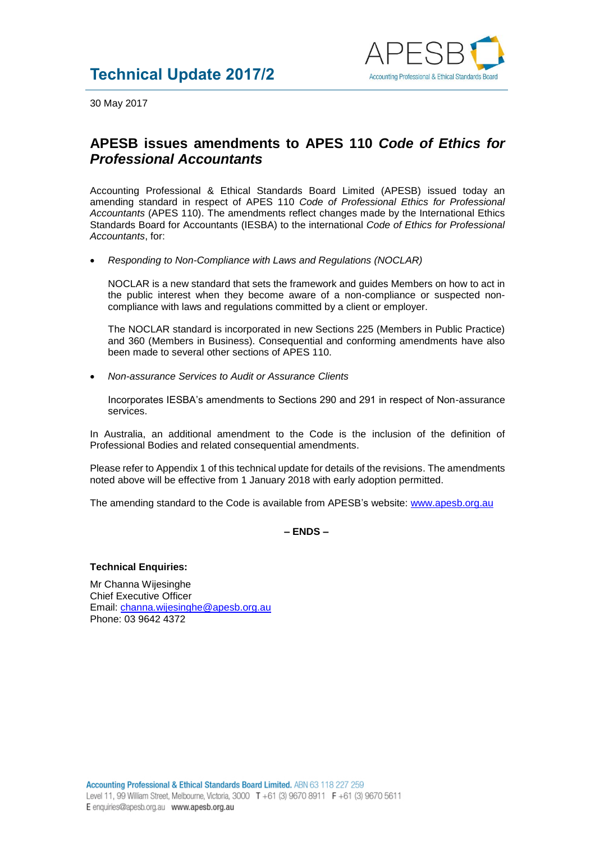

30 May 2017

## **APESB issues amendments to APES 110** *Code of Ethics for Professional Accountants*

Accounting Professional & Ethical Standards Board Limited (APESB) issued today an amending standard in respect of APES 110 *Code of Professional Ethics for Professional Accountants* (APES 110). The amendments reflect changes made by the International Ethics Standards Board for Accountants (IESBA) to the international *Code of Ethics for Professional Accountants*, for:

• *Responding to Non-Compliance with Laws and Regulations (NOCLAR)*

NOCLAR is a new standard that sets the framework and guides Members on how to act in the public interest when they become aware of a non-compliance or suspected noncompliance with laws and regulations committed by a client or employer.

The NOCLAR standard is incorporated in new Sections 225 (Members in Public Practice) and 360 (Members in Business). Consequential and conforming amendments have also been made to several other sections of APES 110.

• *Non-assurance Services to Audit or Assurance Clients*

Incorporates IESBA's amendments to Sections 290 and 291 in respect of Non-assurance services.

In Australia, an additional amendment to the Code is the inclusion of the definition of Professional Bodies and related consequential amendments.

Please refer to Appendix 1 of this technical update for details of the revisions. The amendments noted above will be effective from 1 January 2018 with early adoption permitted.

The amending standard to the Code is available from APESB's website: [www.apesb.org.au](http://www.apesb.org.au/)

**– ENDS –**

## **Technical Enquiries:**

Mr Channa Wijesinghe Chief Executive Officer Email: [channa.wijesinghe@apesb.org.au](mailto:channa.wijesinghe@apesb.org.au) Phone: 03 9642 4372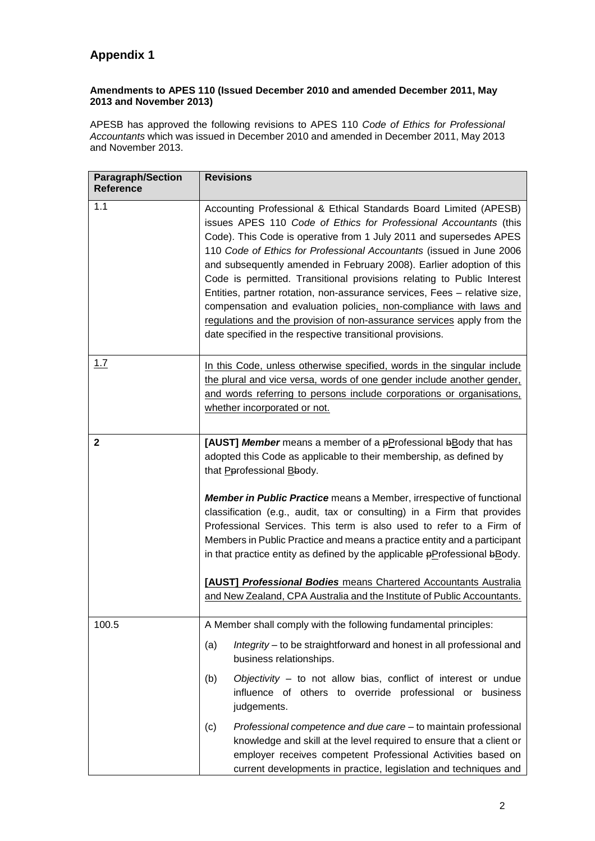## **Appendix 1**

## **Amendments to APES 110 (Issued December 2010 and amended December 2011, May 2013 and November 2013)**

APESB has approved the following revisions to APES 110 *Code of Ethics for Professional Accountants* which was issued in December 2010 and amended in December 2011, May 2013 and November 2013.

| <b>Paragraph/Section</b><br><b>Reference</b> | <b>Revisions</b>                                                                                                                                                                                                                                                                                                                                                                                                                                                                                                                                                                                                                                                                                                                 |
|----------------------------------------------|----------------------------------------------------------------------------------------------------------------------------------------------------------------------------------------------------------------------------------------------------------------------------------------------------------------------------------------------------------------------------------------------------------------------------------------------------------------------------------------------------------------------------------------------------------------------------------------------------------------------------------------------------------------------------------------------------------------------------------|
| 1.1                                          | Accounting Professional & Ethical Standards Board Limited (APESB)<br>issues APES 110 Code of Ethics for Professional Accountants (this<br>Code). This Code is operative from 1 July 2011 and supersedes APES<br>110 Code of Ethics for Professional Accountants (issued in June 2006<br>and subsequently amended in February 2008). Earlier adoption of this<br>Code is permitted. Transitional provisions relating to Public Interest<br>Entities, partner rotation, non-assurance services, Fees - relative size,<br>compensation and evaluation policies, non-compliance with laws and<br>regulations and the provision of non-assurance services apply from the<br>date specified in the respective transitional provisions. |
| 1.7                                          | In this Code, unless otherwise specified, words in the singular include<br>the plural and vice versa, words of one gender include another gender,<br>and words referring to persons include corporations or organisations.<br>whether incorporated or not.                                                                                                                                                                                                                                                                                                                                                                                                                                                                       |
| $\mathbf{2}$                                 | [AUST] Member means a member of a pProfessional bBody that has<br>adopted this Code as applicable to their membership, as defined by<br>that Perofessional Bbody.<br><b>Member in Public Practice</b> means a Member, irrespective of functional<br>classification (e.g., audit, tax or consulting) in a Firm that provides<br>Professional Services. This term is also used to refer to a Firm of<br>Members in Public Practice and means a practice entity and a participant<br>in that practice entity as defined by the applicable $p$ Professional $p$ Body.<br>[AUST] Professional Bodies means Chartered Accountants Australia<br>and New Zealand, CPA Australia and the Institute of Public Accountants.                 |
| 100.5                                        | A Member shall comply with the following fundamental principles:<br>Integrity – to be straightforward and honest in all professional and<br>(a)<br>business relationships.<br>Objectivity - to not allow bias, conflict of interest or undue<br>(b)<br>influence of others to override professional or business<br>judgements.<br>Professional competence and due care – to maintain professional<br>(c)<br>knowledge and skill at the level required to ensure that a client or                                                                                                                                                                                                                                                 |
|                                              | employer receives competent Professional Activities based on<br>current developments in practice, legislation and techniques and                                                                                                                                                                                                                                                                                                                                                                                                                                                                                                                                                                                                 |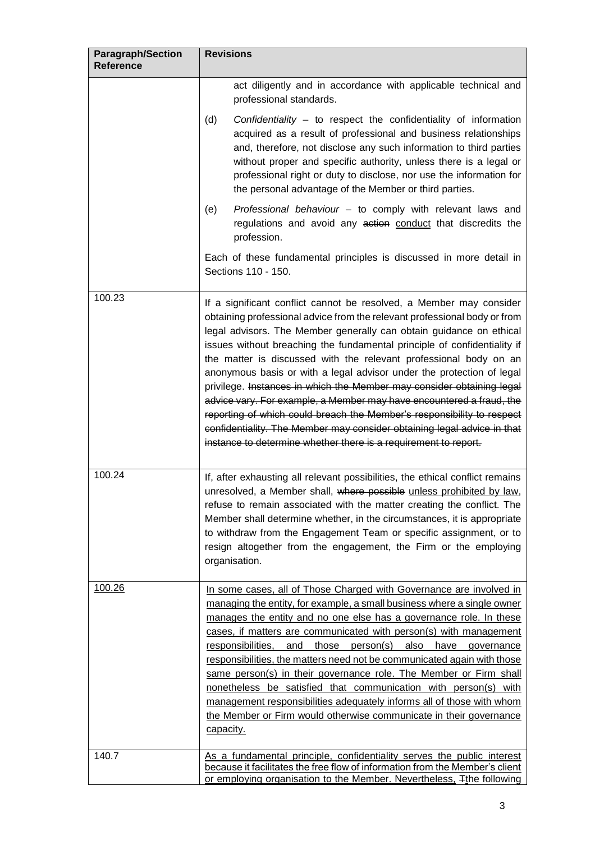| <b>Paragraph/Section</b><br><b>Reference</b> | <b>Revisions</b>                                                                                                                                                                                                                                                                                                                                                                                                                                                                                                                                                                                                                                                                                                                                                                                                           |
|----------------------------------------------|----------------------------------------------------------------------------------------------------------------------------------------------------------------------------------------------------------------------------------------------------------------------------------------------------------------------------------------------------------------------------------------------------------------------------------------------------------------------------------------------------------------------------------------------------------------------------------------------------------------------------------------------------------------------------------------------------------------------------------------------------------------------------------------------------------------------------|
|                                              | act diligently and in accordance with applicable technical and<br>professional standards.                                                                                                                                                                                                                                                                                                                                                                                                                                                                                                                                                                                                                                                                                                                                  |
|                                              | Confidentiality - to respect the confidentiality of information<br>(d)<br>acquired as a result of professional and business relationships<br>and, therefore, not disclose any such information to third parties<br>without proper and specific authority, unless there is a legal or<br>professional right or duty to disclose, nor use the information for<br>the personal advantage of the Member or third parties.                                                                                                                                                                                                                                                                                                                                                                                                      |
|                                              | Professional behaviour - to comply with relevant laws and<br>(e)<br>regulations and avoid any action conduct that discredits the<br>profession.                                                                                                                                                                                                                                                                                                                                                                                                                                                                                                                                                                                                                                                                            |
|                                              | Each of these fundamental principles is discussed in more detail in<br>Sections 110 - 150.                                                                                                                                                                                                                                                                                                                                                                                                                                                                                                                                                                                                                                                                                                                                 |
| 100.23                                       | If a significant conflict cannot be resolved, a Member may consider<br>obtaining professional advice from the relevant professional body or from<br>legal advisors. The Member generally can obtain guidance on ethical<br>issues without breaching the fundamental principle of confidentiality if<br>the matter is discussed with the relevant professional body on an<br>anonymous basis or with a legal advisor under the protection of legal<br>privilege. Instances in which the Member may consider obtaining legal<br>advice vary. For example, a Member may have encountered a fraud, the<br>reporting of which could breach the Member's responsibility to respect<br>confidentiality. The Member may consider obtaining legal advice in that<br>instance to determine whether there is a requirement to report. |
| 100.24                                       | If, after exhausting all relevant possibilities, the ethical conflict remains<br>unresolved, a Member shall, where possible unless prohibited by law,<br>refuse to remain associated with the matter creating the conflict. The<br>Member shall determine whether, in the circumstances, it is appropriate<br>to withdraw from the Engagement Team or specific assignment, or to<br>resign altogether from the engagement, the Firm or the employing<br>organisation.                                                                                                                                                                                                                                                                                                                                                      |
| 100.26                                       | In some cases, all of Those Charged with Governance are involved in<br>managing the entity, for example, a small business where a single owner<br>manages the entity and no one else has a governance role. In these<br>cases, if matters are communicated with person(s) with management<br>responsibilities,<br>and those person(s) also have<br>governance<br>responsibilities, the matters need not be communicated again with those<br>same person(s) in their governance role. The Member or Firm shall<br>nonetheless be satisfied that communication with person(s) with<br>management responsibilities adequately informs all of those with whom<br>the Member or Firm would otherwise communicate in their governance<br>capacity.                                                                               |
| 140.7                                        | As a fundamental principle, confidentiality serves the public interest<br>because it facilitates the free flow of information from the Member's client<br>or employing organisation to the Member. Nevertheless, Tthe following                                                                                                                                                                                                                                                                                                                                                                                                                                                                                                                                                                                            |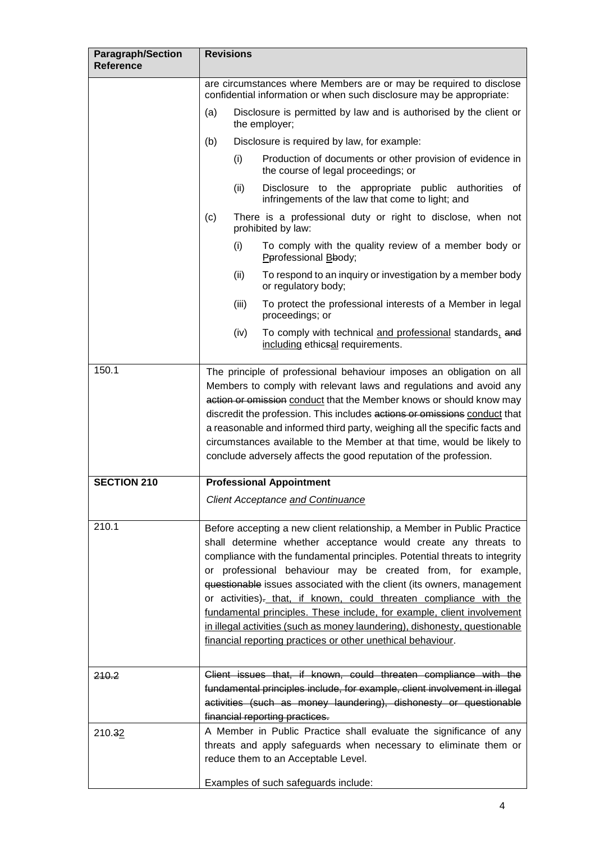| <b>Paragraph/Section</b><br><b>Reference</b> | <b>Revisions</b>                                                                                                                                                                                                                                                                                                                                                                                                                                                                                                                                                                                                                                              |
|----------------------------------------------|---------------------------------------------------------------------------------------------------------------------------------------------------------------------------------------------------------------------------------------------------------------------------------------------------------------------------------------------------------------------------------------------------------------------------------------------------------------------------------------------------------------------------------------------------------------------------------------------------------------------------------------------------------------|
|                                              | are circumstances where Members are or may be required to disclose<br>confidential information or when such disclosure may be appropriate:                                                                                                                                                                                                                                                                                                                                                                                                                                                                                                                    |
|                                              | Disclosure is permitted by law and is authorised by the client or<br>(a)<br>the employer;                                                                                                                                                                                                                                                                                                                                                                                                                                                                                                                                                                     |
|                                              | (b)<br>Disclosure is required by law, for example:                                                                                                                                                                                                                                                                                                                                                                                                                                                                                                                                                                                                            |
|                                              | (i)<br>Production of documents or other provision of evidence in<br>the course of legal proceedings; or                                                                                                                                                                                                                                                                                                                                                                                                                                                                                                                                                       |
|                                              | (ii)<br>Disclosure to the appropriate public authorities of<br>infringements of the law that come to light; and                                                                                                                                                                                                                                                                                                                                                                                                                                                                                                                                               |
|                                              | There is a professional duty or right to disclose, when not<br>(c)<br>prohibited by law:                                                                                                                                                                                                                                                                                                                                                                                                                                                                                                                                                                      |
|                                              | (i)<br>To comply with the quality review of a member body or<br>Pprofessional Bbody;                                                                                                                                                                                                                                                                                                                                                                                                                                                                                                                                                                          |
|                                              | To respond to an inquiry or investigation by a member body<br>(ii)<br>or regulatory body;                                                                                                                                                                                                                                                                                                                                                                                                                                                                                                                                                                     |
|                                              | (iii)<br>To protect the professional interests of a Member in legal<br>proceedings; or                                                                                                                                                                                                                                                                                                                                                                                                                                                                                                                                                                        |
|                                              | To comply with technical and professional standards, and<br>(iv)<br>including ethicsal requirements.                                                                                                                                                                                                                                                                                                                                                                                                                                                                                                                                                          |
| 150.1                                        | The principle of professional behaviour imposes an obligation on all<br>Members to comply with relevant laws and regulations and avoid any<br>action or omission conduct that the Member knows or should know may<br>discredit the profession. This includes actions or omissions conduct that<br>a reasonable and informed third party, weighing all the specific facts and<br>circumstances available to the Member at that time, would be likely to<br>conclude adversely affects the good reputation of the profession.                                                                                                                                   |
| <b>SECTION 210</b>                           | <b>Professional Appointment</b>                                                                                                                                                                                                                                                                                                                                                                                                                                                                                                                                                                                                                               |
|                                              | <b>Client Acceptance and Continuance</b>                                                                                                                                                                                                                                                                                                                                                                                                                                                                                                                                                                                                                      |
| 210.1                                        | Before accepting a new client relationship, a Member in Public Practice<br>shall determine whether acceptance would create any threats to<br>compliance with the fundamental principles. Potential threats to integrity<br>or professional behaviour may be created from, for example,<br>questionable issues associated with the client (its owners, management<br>or activities)- that, if known, could threaten compliance with the<br>fundamental principles. These include, for example, client involvement<br>in illegal activities (such as money laundering), dishonesty, questionable<br>financial reporting practices or other unethical behaviour. |
| 210.2                                        | Client issues that, if known, could threaten compliance with the<br>fundamental principles include, for example, client involvement in illegal<br>activities (such as money laundering), dishonesty or questionable<br>financial reporting practices.                                                                                                                                                                                                                                                                                                                                                                                                         |
| 210.32                                       | A Member in Public Practice shall evaluate the significance of any<br>threats and apply safeguards when necessary to eliminate them or<br>reduce them to an Acceptable Level.                                                                                                                                                                                                                                                                                                                                                                                                                                                                                 |
|                                              | Examples of such safeguards include:                                                                                                                                                                                                                                                                                                                                                                                                                                                                                                                                                                                                                          |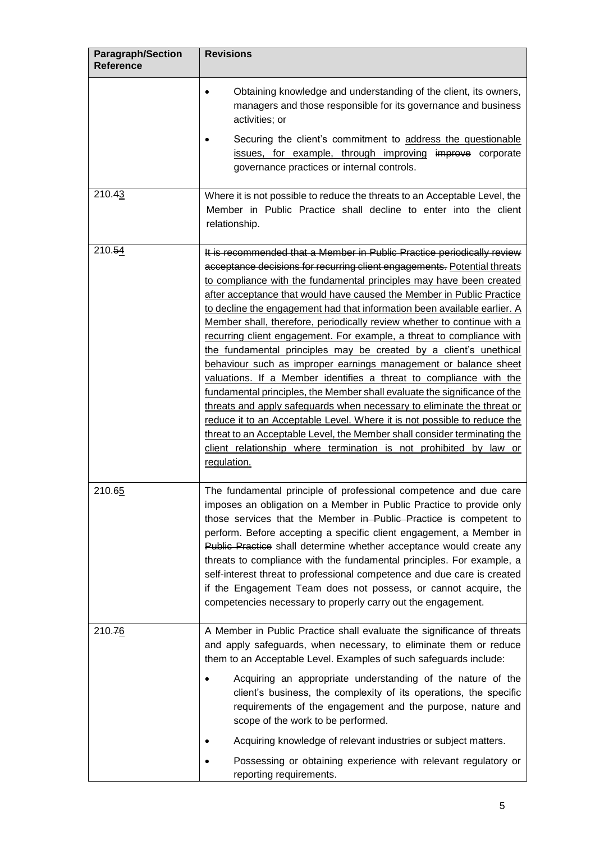| <b>Paragraph/Section</b><br><b>Reference</b> | <b>Revisions</b>                                                                                                                                                                                                                                                                                                                                                                                                                                                                                                                                                                                                                                                                                                                                                                                                                                                                                                                                                                                                                                                                                                                                    |
|----------------------------------------------|-----------------------------------------------------------------------------------------------------------------------------------------------------------------------------------------------------------------------------------------------------------------------------------------------------------------------------------------------------------------------------------------------------------------------------------------------------------------------------------------------------------------------------------------------------------------------------------------------------------------------------------------------------------------------------------------------------------------------------------------------------------------------------------------------------------------------------------------------------------------------------------------------------------------------------------------------------------------------------------------------------------------------------------------------------------------------------------------------------------------------------------------------------|
|                                              | Obtaining knowledge and understanding of the client, its owners,<br>$\bullet$<br>managers and those responsible for its governance and business<br>activities; or                                                                                                                                                                                                                                                                                                                                                                                                                                                                                                                                                                                                                                                                                                                                                                                                                                                                                                                                                                                   |
|                                              | Securing the client's commitment to address the questionable<br>issues, for example, through improving improve corporate<br>governance practices or internal controls.                                                                                                                                                                                                                                                                                                                                                                                                                                                                                                                                                                                                                                                                                                                                                                                                                                                                                                                                                                              |
| 210.43                                       | Where it is not possible to reduce the threats to an Acceptable Level, the<br>Member in Public Practice shall decline to enter into the client<br>relationship.                                                                                                                                                                                                                                                                                                                                                                                                                                                                                                                                                                                                                                                                                                                                                                                                                                                                                                                                                                                     |
| 210.54                                       | It is recommended that a Member in Public Practice periodically review<br>acceptance decisions for recurring client engagements. Potential threats<br>to compliance with the fundamental principles may have been created<br>after acceptance that would have caused the Member in Public Practice<br>to decline the engagement had that information been available earlier. A<br>Member shall, therefore, periodically review whether to continue with a<br>recurring client engagement. For example, a threat to compliance with<br>the fundamental principles may be created by a client's unethical<br>behaviour such as improper earnings management or balance sheet<br>valuations. If a Member identifies a threat to compliance with the<br>fundamental principles, the Member shall evaluate the significance of the<br>threats and apply safeguards when necessary to eliminate the threat or<br>reduce it to an Acceptable Level. Where it is not possible to reduce the<br>threat to an Acceptable Level, the Member shall consider terminating the<br>client relationship where termination is not prohibited by law or<br>regulation. |
| 210.65                                       | The fundamental principle of professional competence and due care<br>imposes an obligation on a Member in Public Practice to provide only<br>those services that the Member in Public Practice is competent to<br>perform. Before accepting a specific client engagement, a Member in<br>Public Practice shall determine whether acceptance would create any<br>threats to compliance with the fundamental principles. For example, a<br>self-interest threat to professional competence and due care is created<br>if the Engagement Team does not possess, or cannot acquire, the<br>competencies necessary to properly carry out the engagement.                                                                                                                                                                                                                                                                                                                                                                                                                                                                                                 |
| 210.76                                       | A Member in Public Practice shall evaluate the significance of threats<br>and apply safeguards, when necessary, to eliminate them or reduce<br>them to an Acceptable Level. Examples of such safeguards include:<br>Acquiring an appropriate understanding of the nature of the<br>client's business, the complexity of its operations, the specific<br>requirements of the engagement and the purpose, nature and<br>scope of the work to be performed.<br>Acquiring knowledge of relevant industries or subject matters.<br>Possessing or obtaining experience with relevant regulatory or                                                                                                                                                                                                                                                                                                                                                                                                                                                                                                                                                        |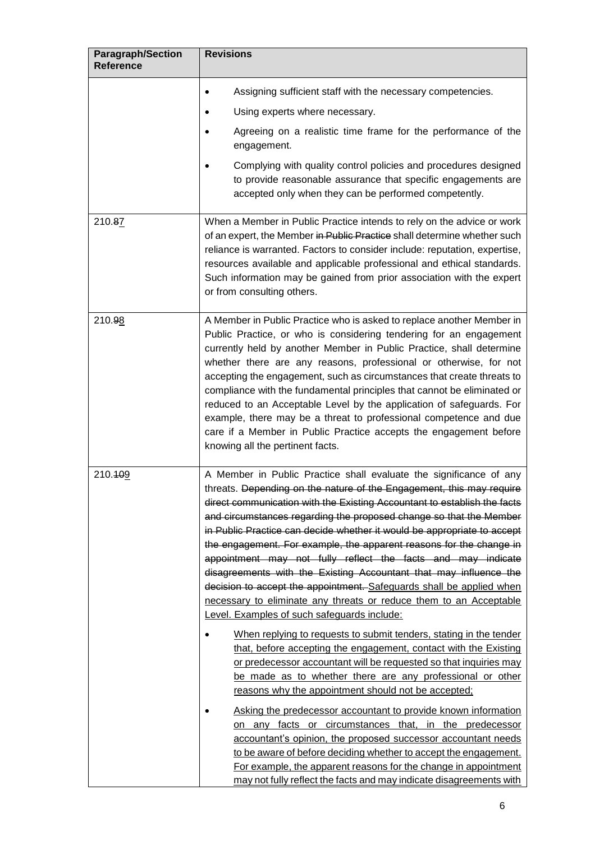| <b>Paragraph/Section</b><br><b>Reference</b> | <b>Revisions</b>                                                                                                                                                                                                                                                                                                                                                                                                                                                                                                                                                                                                                                                                                                                                                                                                                                                                                                                                                                                                                                                                                                                                                                                                                                                                                                                                                                                                                                                                                                               |
|----------------------------------------------|--------------------------------------------------------------------------------------------------------------------------------------------------------------------------------------------------------------------------------------------------------------------------------------------------------------------------------------------------------------------------------------------------------------------------------------------------------------------------------------------------------------------------------------------------------------------------------------------------------------------------------------------------------------------------------------------------------------------------------------------------------------------------------------------------------------------------------------------------------------------------------------------------------------------------------------------------------------------------------------------------------------------------------------------------------------------------------------------------------------------------------------------------------------------------------------------------------------------------------------------------------------------------------------------------------------------------------------------------------------------------------------------------------------------------------------------------------------------------------------------------------------------------------|
|                                              | Assigning sufficient staff with the necessary competencies.<br>$\bullet$                                                                                                                                                                                                                                                                                                                                                                                                                                                                                                                                                                                                                                                                                                                                                                                                                                                                                                                                                                                                                                                                                                                                                                                                                                                                                                                                                                                                                                                       |
|                                              | Using experts where necessary.                                                                                                                                                                                                                                                                                                                                                                                                                                                                                                                                                                                                                                                                                                                                                                                                                                                                                                                                                                                                                                                                                                                                                                                                                                                                                                                                                                                                                                                                                                 |
|                                              | Agreeing on a realistic time frame for the performance of the<br>engagement.                                                                                                                                                                                                                                                                                                                                                                                                                                                                                                                                                                                                                                                                                                                                                                                                                                                                                                                                                                                                                                                                                                                                                                                                                                                                                                                                                                                                                                                   |
|                                              | Complying with quality control policies and procedures designed<br>to provide reasonable assurance that specific engagements are<br>accepted only when they can be performed competently.                                                                                                                                                                                                                                                                                                                                                                                                                                                                                                                                                                                                                                                                                                                                                                                                                                                                                                                                                                                                                                                                                                                                                                                                                                                                                                                                      |
| 210.87                                       | When a Member in Public Practice intends to rely on the advice or work<br>of an expert, the Member in Public Practice shall determine whether such<br>reliance is warranted. Factors to consider include: reputation, expertise,<br>resources available and applicable professional and ethical standards.<br>Such information may be gained from prior association with the expert<br>or from consulting others.                                                                                                                                                                                                                                                                                                                                                                                                                                                                                                                                                                                                                                                                                                                                                                                                                                                                                                                                                                                                                                                                                                              |
| 210.98                                       | A Member in Public Practice who is asked to replace another Member in<br>Public Practice, or who is considering tendering for an engagement<br>currently held by another Member in Public Practice, shall determine<br>whether there are any reasons, professional or otherwise, for not<br>accepting the engagement, such as circumstances that create threats to<br>compliance with the fundamental principles that cannot be eliminated or<br>reduced to an Acceptable Level by the application of safeguards. For<br>example, there may be a threat to professional competence and due<br>care if a Member in Public Practice accepts the engagement before<br>knowing all the pertinent facts.                                                                                                                                                                                                                                                                                                                                                                                                                                                                                                                                                                                                                                                                                                                                                                                                                            |
| 210.409                                      | A Member in Public Practice shall evaluate the significance of any<br>threats. Depending on the nature of the Engagement, this may require<br>direct communication with the Existing Accountant to establish the facts<br>and circumstances regarding the proposed change so that the Member<br>in Public Practice can decide whether it would be appropriate to accept<br>the engagement. For example, the apparent reasons for the change in<br>appointment may not fully reflect the facts and may indicate<br>disagreements with the Existing Accountant that may influence the<br>decision to accept the appointment. Safeguards shall be applied when<br>necessary to eliminate any threats or reduce them to an Acceptable<br>Level. Examples of such safeguards include:<br>When replying to requests to submit tenders, stating in the tender<br>that, before accepting the engagement, contact with the Existing<br>or predecessor accountant will be requested so that inquiries may<br>be made as to whether there are any professional or other<br>reasons why the appointment should not be accepted;<br>Asking the predecessor accountant to provide known information<br>on any facts or circumstances that, in the predecessor<br>accountant's opinion, the proposed successor accountant needs<br>to be aware of before deciding whether to accept the engagement.<br>For example, the apparent reasons for the change in appointment<br>may not fully reflect the facts and may indicate disagreements with |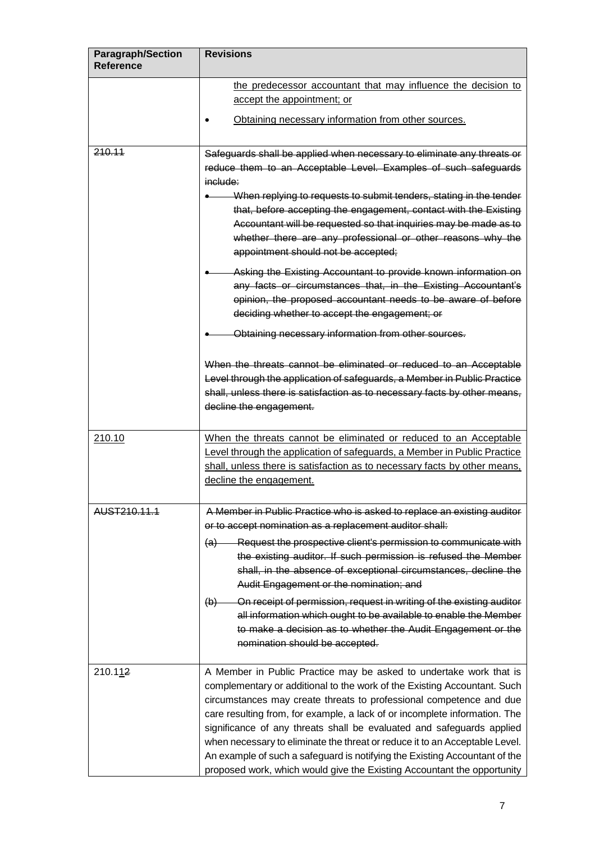| <b>Paragraph/Section</b><br><b>Reference</b> | <b>Revisions</b>                                                                                                                                                                                                                                                                                                                                                                                                                                                                                                                                                                                                                                                                                                                                                                                                                                                                                                                                                                                                                              |
|----------------------------------------------|-----------------------------------------------------------------------------------------------------------------------------------------------------------------------------------------------------------------------------------------------------------------------------------------------------------------------------------------------------------------------------------------------------------------------------------------------------------------------------------------------------------------------------------------------------------------------------------------------------------------------------------------------------------------------------------------------------------------------------------------------------------------------------------------------------------------------------------------------------------------------------------------------------------------------------------------------------------------------------------------------------------------------------------------------|
|                                              | the predecessor accountant that may influence the decision to<br>accept the appointment; or                                                                                                                                                                                                                                                                                                                                                                                                                                                                                                                                                                                                                                                                                                                                                                                                                                                                                                                                                   |
|                                              | Obtaining necessary information from other sources.                                                                                                                                                                                                                                                                                                                                                                                                                                                                                                                                                                                                                                                                                                                                                                                                                                                                                                                                                                                           |
| 210.11                                       | Safeguards shall be applied when necessary to eliminate any threats or<br>reduce them to an Acceptable Level. Examples of such safeguards<br>include:<br>When replying to requests to submit tenders, stating in the tender<br>that, before accepting the engagement, contact with the Existing<br>Accountant will be requested so that inquiries may be made as to<br>whether there are any professional or other reasons why the<br>appointment should not be accepted;<br>Asking the Existing Accountant to provide known information on<br>any facts or circumstances that, in the Existing Accountant's<br>opinion, the proposed accountant needs to be aware of before<br>deciding whether to accept the engagement; or<br>Obtaining necessary information from other sources.<br>When the threats cannot be eliminated or reduced to an Acceptable<br>Level through the application of safeguards, a Member in Public Practice<br>shall, unless there is satisfaction as to necessary facts by other means,<br>decline the engagement. |
| 210.10                                       | When the threats cannot be eliminated or reduced to an Acceptable<br>Level through the application of safeguards, a Member in Public Practice<br>shall, unless there is satisfaction as to necessary facts by other means,<br>decline the engagement.                                                                                                                                                                                                                                                                                                                                                                                                                                                                                                                                                                                                                                                                                                                                                                                         |
| AUST210.11.1                                 | A Member in Public Practice who is asked to replace an existing auditor<br>or to accept nomination as a replacement auditor shall:<br>(a) Request the prospective client's permission to communicate with<br>the existing auditor. If such permission is refused the Member<br>shall, in the absence of exceptional circumstances, decline the<br>Audit Engagement or the nomination; and<br>(b) On receipt of permission, request in writing of the existing auditor<br>all information which ought to be available to enable the Member<br>to make a decision as to whether the Audit Engagement or the<br>nomination should be accepted.                                                                                                                                                                                                                                                                                                                                                                                                   |
| 210.112                                      | A Member in Public Practice may be asked to undertake work that is<br>complementary or additional to the work of the Existing Accountant. Such<br>circumstances may create threats to professional competence and due<br>care resulting from, for example, a lack of or incomplete information. The<br>significance of any threats shall be evaluated and safeguards applied<br>when necessary to eliminate the threat or reduce it to an Acceptable Level.<br>An example of such a safeguard is notifying the Existing Accountant of the<br>proposed work, which would give the Existing Accountant the opportunity                                                                                                                                                                                                                                                                                                                                                                                                                          |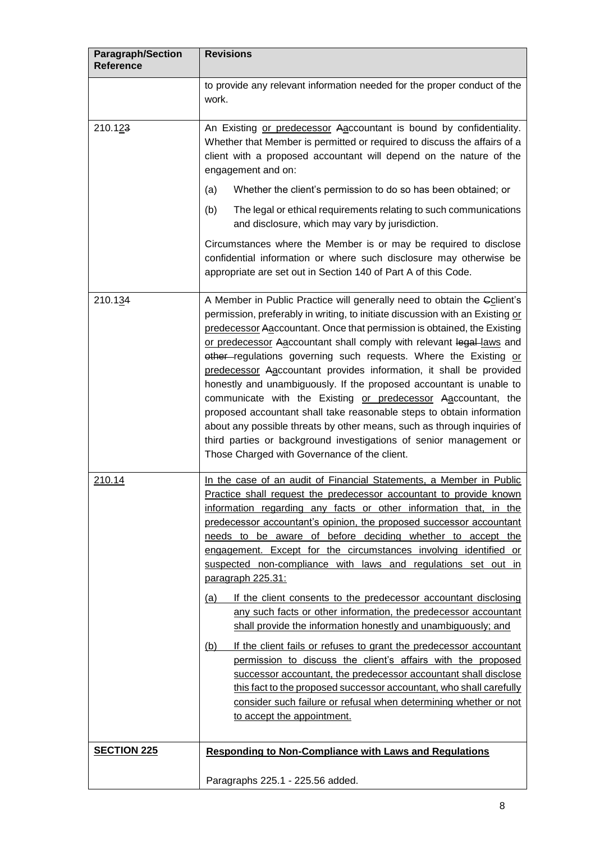| <b>Paragraph/Section</b><br><b>Reference</b> | <b>Revisions</b>                                                                                                                                                                                                                                                                                                                                                                                                                                                                                                                                                                                                                                                                                                                                                                                                                                                                                                                                                                                                                                                                                                     |
|----------------------------------------------|----------------------------------------------------------------------------------------------------------------------------------------------------------------------------------------------------------------------------------------------------------------------------------------------------------------------------------------------------------------------------------------------------------------------------------------------------------------------------------------------------------------------------------------------------------------------------------------------------------------------------------------------------------------------------------------------------------------------------------------------------------------------------------------------------------------------------------------------------------------------------------------------------------------------------------------------------------------------------------------------------------------------------------------------------------------------------------------------------------------------|
|                                              | to provide any relevant information needed for the proper conduct of the<br>work.                                                                                                                                                                                                                                                                                                                                                                                                                                                                                                                                                                                                                                                                                                                                                                                                                                                                                                                                                                                                                                    |
| 210.123                                      | An Existing or predecessor Aaccountant is bound by confidentiality.<br>Whether that Member is permitted or required to discuss the affairs of a<br>client with a proposed accountant will depend on the nature of the<br>engagement and on:<br>Whether the client's permission to do so has been obtained; or<br>(a)<br>The legal or ethical requirements relating to such communications<br>(b)<br>and disclosure, which may vary by jurisdiction.<br>Circumstances where the Member is or may be required to disclose<br>confidential information or where such disclosure may otherwise be<br>appropriate are set out in Section 140 of Part A of this Code.                                                                                                                                                                                                                                                                                                                                                                                                                                                      |
| 210.134                                      | A Member in Public Practice will generally need to obtain the Gclient's<br>permission, preferably in writing, to initiate discussion with an Existing or<br>predecessor Aaccountant. Once that permission is obtained, the Existing<br>or predecessor Aaccountant shall comply with relevant legal-laws and<br>other regulations governing such requests. Where the Existing or<br>predecessor Aaccountant provides information, it shall be provided<br>honestly and unambiguously. If the proposed accountant is unable to<br>communicate with the Existing or predecessor Aaccountant, the<br>proposed accountant shall take reasonable steps to obtain information<br>about any possible threats by other means, such as through inquiries of<br>third parties or background investigations of senior management or<br>Those Charged with Governance of the client.                                                                                                                                                                                                                                              |
| 210.14                                       | In the case of an audit of Financial Statements, a Member in Public<br>Practice shall request the predecessor accountant to provide known<br>information regarding any facts or other information that, in the<br>predecessor accountant's opinion, the proposed successor accountant<br>needs to be aware of before deciding whether to accept the<br>engagement. Except for the circumstances involving identified or<br>suspected non-compliance with laws and regulations set out in<br>paragraph 225.31:<br>If the client consents to the predecessor accountant disclosing<br>(a)<br>any such facts or other information, the predecessor accountant<br>shall provide the information honestly and unambiguously; and<br>If the client fails or refuses to grant the predecessor accountant<br>(b)<br>permission to discuss the client's affairs with the proposed<br>successor accountant, the predecessor accountant shall disclose<br>this fact to the proposed successor accountant, who shall carefully<br>consider such failure or refusal when determining whether or not<br>to accept the appointment. |
| <b>SECTION 225</b>                           | <b>Responding to Non-Compliance with Laws and Regulations</b><br>Paragraphs 225.1 - 225.56 added.                                                                                                                                                                                                                                                                                                                                                                                                                                                                                                                                                                                                                                                                                                                                                                                                                                                                                                                                                                                                                    |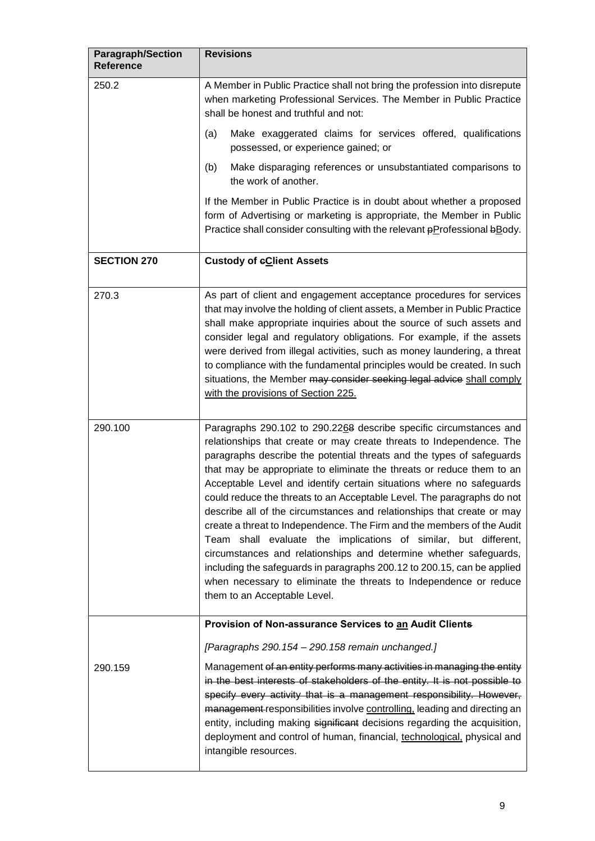| <b>Paragraph/Section</b><br><b>Reference</b> | <b>Revisions</b>                                                                                                                                                                                                                                                                                                                                                                                                                                                                                                                                                                                                                                                                                                                                                                                                                                                                                                           |
|----------------------------------------------|----------------------------------------------------------------------------------------------------------------------------------------------------------------------------------------------------------------------------------------------------------------------------------------------------------------------------------------------------------------------------------------------------------------------------------------------------------------------------------------------------------------------------------------------------------------------------------------------------------------------------------------------------------------------------------------------------------------------------------------------------------------------------------------------------------------------------------------------------------------------------------------------------------------------------|
| 250.2                                        | A Member in Public Practice shall not bring the profession into disrepute<br>when marketing Professional Services. The Member in Public Practice<br>shall be honest and truthful and not:                                                                                                                                                                                                                                                                                                                                                                                                                                                                                                                                                                                                                                                                                                                                  |
|                                              | Make exaggerated claims for services offered, qualifications<br>(a)<br>possessed, or experience gained; or                                                                                                                                                                                                                                                                                                                                                                                                                                                                                                                                                                                                                                                                                                                                                                                                                 |
|                                              | (b)<br>Make disparaging references or unsubstantiated comparisons to<br>the work of another.                                                                                                                                                                                                                                                                                                                                                                                                                                                                                                                                                                                                                                                                                                                                                                                                                               |
|                                              | If the Member in Public Practice is in doubt about whether a proposed<br>form of Advertising or marketing is appropriate, the Member in Public<br>Practice shall consider consulting with the relevant pProfessional bBody.                                                                                                                                                                                                                                                                                                                                                                                                                                                                                                                                                                                                                                                                                                |
| <b>SECTION 270</b>                           | <b>Custody of eClient Assets</b>                                                                                                                                                                                                                                                                                                                                                                                                                                                                                                                                                                                                                                                                                                                                                                                                                                                                                           |
| 270.3                                        | As part of client and engagement acceptance procedures for services<br>that may involve the holding of client assets, a Member in Public Practice<br>shall make appropriate inquiries about the source of such assets and<br>consider legal and regulatory obligations. For example, if the assets<br>were derived from illegal activities, such as money laundering, a threat<br>to compliance with the fundamental principles would be created. In such<br>situations, the Member may consider seeking legal advice shall comply<br>with the provisions of Section 225.                                                                                                                                                                                                                                                                                                                                                  |
| 290.100                                      | Paragraphs 290.102 to 290.2268 describe specific circumstances and<br>relationships that create or may create threats to Independence. The<br>paragraphs describe the potential threats and the types of safeguards<br>that may be appropriate to eliminate the threats or reduce them to an<br>Acceptable Level and identify certain situations where no safeguards<br>could reduce the threats to an Acceptable Level. The paragraphs do not<br>describe all of the circumstances and relationships that create or may<br>create a threat to Independence. The Firm and the members of the Audit<br>Team shall evaluate the implications of similar, but different,<br>circumstances and relationships and determine whether safeguards,<br>including the safeguards in paragraphs 200.12 to 200.15, can be applied<br>when necessary to eliminate the threats to Independence or reduce<br>them to an Acceptable Level. |
|                                              | Provision of Non-assurance Services to an Audit Clients                                                                                                                                                                                                                                                                                                                                                                                                                                                                                                                                                                                                                                                                                                                                                                                                                                                                    |
| 290.159                                      | [Paragraphs 290.154 - 290.158 remain unchanged.]<br>Management of an entity performs many activities in managing the entity<br>in the best interests of stakeholders of the entity. It is not possible to<br>specify every activity that is a management responsibility. However,<br>management responsibilities involve controlling, leading and directing an<br>entity, including making significant decisions regarding the acquisition,<br>deployment and control of human, financial, technological, physical and<br>intangible resources.                                                                                                                                                                                                                                                                                                                                                                            |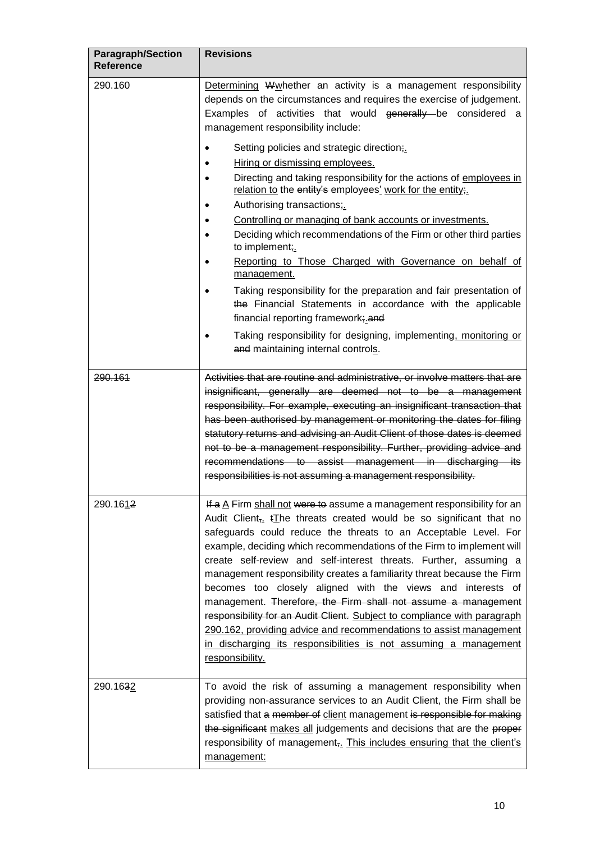| <b>Paragraph/Section</b><br><b>Reference</b> | <b>Revisions</b>                                                                                                                                                                                                                                                                                                                                                                                                                                                                                                                                                                                                                                                                                                                                                                                                                                                                                                                                                                                                   |
|----------------------------------------------|--------------------------------------------------------------------------------------------------------------------------------------------------------------------------------------------------------------------------------------------------------------------------------------------------------------------------------------------------------------------------------------------------------------------------------------------------------------------------------------------------------------------------------------------------------------------------------------------------------------------------------------------------------------------------------------------------------------------------------------------------------------------------------------------------------------------------------------------------------------------------------------------------------------------------------------------------------------------------------------------------------------------|
| 290.160                                      | Determining Wwhether an activity is a management responsibility<br>depends on the circumstances and requires the exercise of judgement.<br>Examples of activities that would generally be considered a<br>management responsibility include:<br>Setting policies and strategic direction;<br>Hiring or dismissing employees.<br>Directing and taking responsibility for the actions of employees in<br>relation to the entity's employees' work for the entity;.<br>Authorising transactions;<br>٠<br>Controlling or managing of bank accounts or investments.<br>Deciding which recommendations of the Firm or other third parties<br>to implement;<br>Reporting to Those Charged with Governance on behalf of<br>management.<br>Taking responsibility for the preparation and fair presentation of<br>the Financial Statements in accordance with the applicable<br>financial reporting framework; and<br>Taking responsibility for designing, implementing, monitoring or<br>and maintaining internal controls. |
| 290.161                                      | Activities that are routine and administrative, or involve matters that are<br>insignificant, generally are deemed not to be a management<br>responsibility. For example, executing an insignificant transaction that<br>has been authorised by management or monitoring the dates for filing<br>statutory returns and advising an Audit Client of those dates is deemed<br>not to be a management responsibility. Further, providing advice and<br>recommendations to assist management in discharging its<br>responsibilities is not assuming a management responsibility.                                                                                                                                                                                                                                                                                                                                                                                                                                       |
| 290.1612                                     | If a A Firm shall not were to assume a management responsibility for an<br>Audit Client <sub>7</sub> t <sub>The threats created would be so significant that no</sub><br>safeguards could reduce the threats to an Acceptable Level. For<br>example, deciding which recommendations of the Firm to implement will<br>create self-review and self-interest threats. Further, assuming a<br>management responsibility creates a familiarity threat because the Firm<br>becomes too closely aligned with the views and interests of<br>management. Therefore, the Firm shall not assume a management<br>responsibility for an Audit Client. Subject to compliance with paragraph<br>290.162, providing advice and recommendations to assist management<br>in discharging its responsibilities is not assuming a management<br>responsibility.                                                                                                                                                                         |
| 290.1632                                     | To avoid the risk of assuming a management responsibility when<br>providing non-assurance services to an Audit Client, the Firm shall be<br>satisfied that a member of client management is responsible for making<br>the significant makes all judgements and decisions that are the proper<br>responsibility of management, This includes ensuring that the client's<br>management:                                                                                                                                                                                                                                                                                                                                                                                                                                                                                                                                                                                                                              |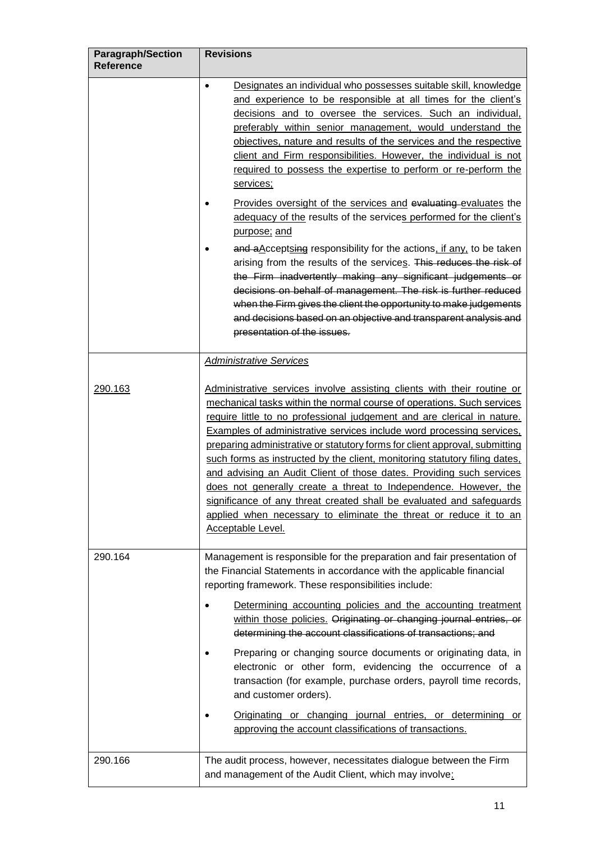| <b>Paragraph/Section</b><br><b>Reference</b> | <b>Revisions</b>                                                                                                                                                                                                                                                                                                                                                                                                                                                                                                                                                                                                                                                                                                                                                                        |
|----------------------------------------------|-----------------------------------------------------------------------------------------------------------------------------------------------------------------------------------------------------------------------------------------------------------------------------------------------------------------------------------------------------------------------------------------------------------------------------------------------------------------------------------------------------------------------------------------------------------------------------------------------------------------------------------------------------------------------------------------------------------------------------------------------------------------------------------------|
|                                              | Designates an individual who possesses suitable skill, knowledge<br>$\bullet$<br>and experience to be responsible at all times for the client's<br>decisions and to oversee the services. Such an individual,<br>preferably within senior management, would understand the<br>objectives, nature and results of the services and the respective<br>client and Firm responsibilities. However, the individual is not<br>required to possess the expertise to perform or re-perform the<br>services;                                                                                                                                                                                                                                                                                      |
|                                              | Provides oversight of the services and evaluating evaluates the<br>adequacy of the results of the services performed for the client's<br>purpose; and                                                                                                                                                                                                                                                                                                                                                                                                                                                                                                                                                                                                                                   |
|                                              | and a Acceptsing responsibility for the actions, if any, to be taken<br>arising from the results of the services. This reduces the risk of<br>the Firm inadvertently making any significant judgements or<br>decisions on behalf of management. The risk is further reduced<br>when the Firm gives the client the opportunity to make judgements<br>and decisions based on an objective and transparent analysis and<br>presentation of the issues.                                                                                                                                                                                                                                                                                                                                     |
|                                              | <b>Administrative Services</b>                                                                                                                                                                                                                                                                                                                                                                                                                                                                                                                                                                                                                                                                                                                                                          |
| 290.163                                      | Administrative services involve assisting clients with their routine or<br>mechanical tasks within the normal course of operations. Such services<br>require little to no professional judgement and are clerical in nature.<br>Examples of administrative services include word processing services.<br>preparing administrative or statutory forms for client approval, submitting<br>such forms as instructed by the client, monitoring statutory filing dates,<br>and advising an Audit Client of those dates. Providing such services<br>does not generally create a threat to Independence. However, the<br>significance of any threat created shall be evaluated and safeguards<br>applied when necessary to eliminate the threat or reduce it to an<br><b>Acceptable Level.</b> |
| 290.164                                      | Management is responsible for the preparation and fair presentation of<br>the Financial Statements in accordance with the applicable financial<br>reporting framework. These responsibilities include:                                                                                                                                                                                                                                                                                                                                                                                                                                                                                                                                                                                  |
|                                              | Determining accounting policies and the accounting treatment<br>within those policies. Originating or changing journal entries, or<br>determining the account classifications of transactions; and                                                                                                                                                                                                                                                                                                                                                                                                                                                                                                                                                                                      |
|                                              | Preparing or changing source documents or originating data, in<br>electronic or other form, evidencing the occurrence of a<br>transaction (for example, purchase orders, payroll time records,<br>and customer orders).                                                                                                                                                                                                                                                                                                                                                                                                                                                                                                                                                                 |
|                                              | Originating or changing journal entries, or determining or<br>approving the account classifications of transactions.                                                                                                                                                                                                                                                                                                                                                                                                                                                                                                                                                                                                                                                                    |
| 290.166                                      | The audit process, however, necessitates dialogue between the Firm<br>and management of the Audit Client, which may involve:                                                                                                                                                                                                                                                                                                                                                                                                                                                                                                                                                                                                                                                            |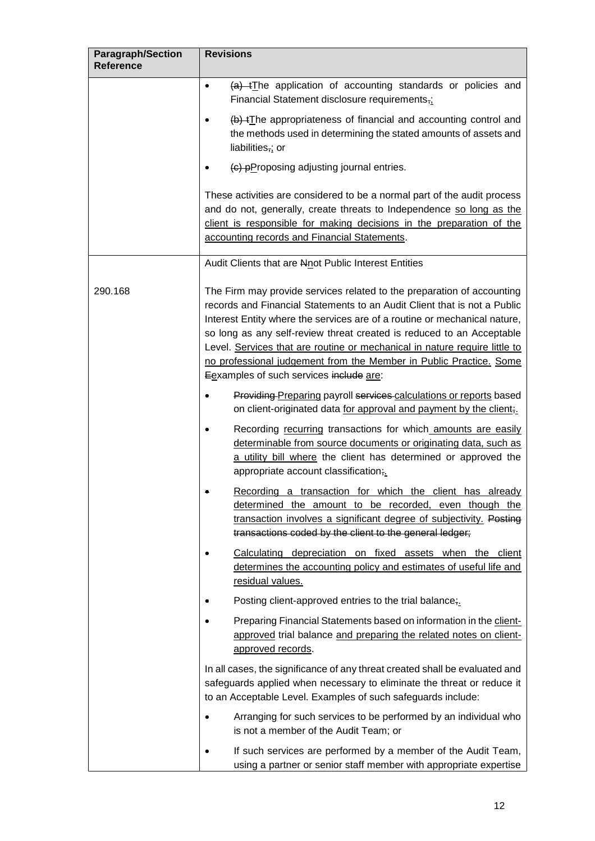| <b>Paragraph/Section</b><br><b>Reference</b> | <b>Revisions</b>                                                                                                                                                                                                                                                                                                                                                                                                                                                                                        |
|----------------------------------------------|---------------------------------------------------------------------------------------------------------------------------------------------------------------------------------------------------------------------------------------------------------------------------------------------------------------------------------------------------------------------------------------------------------------------------------------------------------------------------------------------------------|
|                                              | $(a)$ +The application of accounting standards or policies and<br>٠<br>Financial Statement disclosure requirements,;                                                                                                                                                                                                                                                                                                                                                                                    |
|                                              | (b) tThe appropriateness of financial and accounting control and<br>the methods used in determining the stated amounts of assets and<br>liabilities,; or                                                                                                                                                                                                                                                                                                                                                |
|                                              | (c) pProposing adjusting journal entries.                                                                                                                                                                                                                                                                                                                                                                                                                                                               |
|                                              | These activities are considered to be a normal part of the audit process<br>and do not, generally, create threats to Independence so long as the<br>client is responsible for making decisions in the preparation of the<br>accounting records and Financial Statements.                                                                                                                                                                                                                                |
|                                              | Audit Clients that are Nnot Public Interest Entities                                                                                                                                                                                                                                                                                                                                                                                                                                                    |
| 290.168                                      | The Firm may provide services related to the preparation of accounting<br>records and Financial Statements to an Audit Client that is not a Public<br>Interest Entity where the services are of a routine or mechanical nature,<br>so long as any self-review threat created is reduced to an Acceptable<br>Level. Services that are routine or mechanical in nature require little to<br>no professional judgement from the Member in Public Practice. Some<br>Eexamples of such services include are: |
|                                              | Providing Preparing payroll services calculations or reports based<br>on client-originated data for approval and payment by the client;                                                                                                                                                                                                                                                                                                                                                                 |
|                                              | Recording recurring transactions for which amounts are easily<br>determinable from source documents or originating data, such as<br>a utility bill where the client has determined or approved the<br>appropriate account classification;.                                                                                                                                                                                                                                                              |
|                                              | Recording a transaction for which the client has already<br>determined the amount to be recorded, even though the<br>transaction involves a significant degree of subjectivity. Posting<br>transactions coded by the client to the general ledger;                                                                                                                                                                                                                                                      |
|                                              | Calculating depreciation on fixed assets when the client<br>determines the accounting policy and estimates of useful life and<br>residual values.                                                                                                                                                                                                                                                                                                                                                       |
|                                              | Posting client-approved entries to the trial balance;                                                                                                                                                                                                                                                                                                                                                                                                                                                   |
|                                              | Preparing Financial Statements based on information in the client-<br>approved trial balance and preparing the related notes on client-<br>approved records.                                                                                                                                                                                                                                                                                                                                            |
|                                              | In all cases, the significance of any threat created shall be evaluated and<br>safeguards applied when necessary to eliminate the threat or reduce it<br>to an Acceptable Level. Examples of such safeguards include:                                                                                                                                                                                                                                                                                   |
|                                              | Arranging for such services to be performed by an individual who<br>$\bullet$<br>is not a member of the Audit Team; or                                                                                                                                                                                                                                                                                                                                                                                  |
|                                              | If such services are performed by a member of the Audit Team,<br>using a partner or senior staff member with appropriate expertise                                                                                                                                                                                                                                                                                                                                                                      |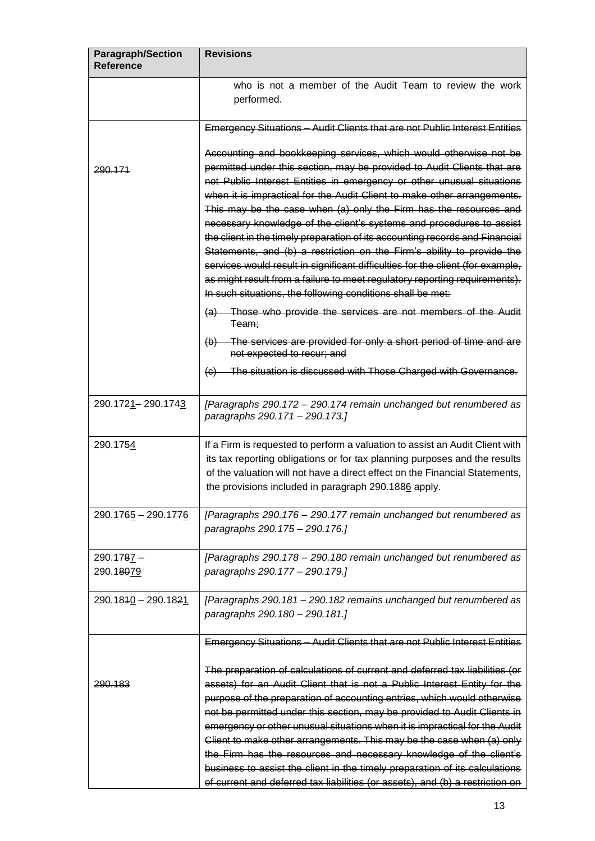| <b>Paragraph/Section</b><br><b>Reference</b> | <b>Revisions</b>                                                                                                                                                                                                                                                                                                                                                                                                                                                                                                                                                                                                                                                                                                                                                                                                                                                                                                                                                                                                         |
|----------------------------------------------|--------------------------------------------------------------------------------------------------------------------------------------------------------------------------------------------------------------------------------------------------------------------------------------------------------------------------------------------------------------------------------------------------------------------------------------------------------------------------------------------------------------------------------------------------------------------------------------------------------------------------------------------------------------------------------------------------------------------------------------------------------------------------------------------------------------------------------------------------------------------------------------------------------------------------------------------------------------------------------------------------------------------------|
|                                              | who is not a member of the Audit Team to review the work<br>performed.                                                                                                                                                                                                                                                                                                                                                                                                                                                                                                                                                                                                                                                                                                                                                                                                                                                                                                                                                   |
|                                              | Emergency Situations - Audit Clients that are not Public Interest Entities                                                                                                                                                                                                                                                                                                                                                                                                                                                                                                                                                                                                                                                                                                                                                                                                                                                                                                                                               |
| 290.171                                      | Accounting and bookkeeping services, which would otherwise not be<br>permitted under this section, may be provided to Audit Clients that are<br>not Public Interest Entities in emergency or other unusual situations<br>when it is impractical for the Audit Client to make other arrangements.<br>This may be the case when (a) only the Firm has the resources and<br>necessary knowledge of the client's systems and procedures to assist<br>the client in the timely preparation of its accounting records and Financial<br>Statements, and (b) a restriction on the Firm's ability to provide the<br>services would result in significant difficulties for the client (for example,<br>as might result from a failure to meet regulatory reporting requirements).<br>In such situations, the following conditions shall be met:<br>(a) Those who provide the services are not members of the Audit<br>Team;<br>(b) The services are provided for only a short period of time and are<br>not expected to recur; and |
|                                              | (c) The situation is discussed with Those Charged with Governance.                                                                                                                                                                                                                                                                                                                                                                                                                                                                                                                                                                                                                                                                                                                                                                                                                                                                                                                                                       |
| 290.1721-290.1743                            | [Paragraphs 290.172 - 290.174 remain unchanged but renumbered as<br>paragraphs 290.171 - 290.173.]                                                                                                                                                                                                                                                                                                                                                                                                                                                                                                                                                                                                                                                                                                                                                                                                                                                                                                                       |
| 290.1754                                     | If a Firm is requested to perform a valuation to assist an Audit Client with<br>its tax reporting obligations or for tax planning purposes and the results<br>of the valuation will not have a direct effect on the Financial Statements,<br>the provisions included in paragraph 290.1886 apply.                                                                                                                                                                                                                                                                                                                                                                                                                                                                                                                                                                                                                                                                                                                        |
| 290.1765 - 290.1776                          | [Paragraphs 290.176 - 290.177 remain unchanged but renumbered as<br>paragraphs 290.175 - 290.176.]                                                                                                                                                                                                                                                                                                                                                                                                                                                                                                                                                                                                                                                                                                                                                                                                                                                                                                                       |
| 290.1787 -<br>290.18079                      | [Paragraphs 290.178 - 290.180 remain unchanged but renumbered as<br>paragraphs 290.177 - 290.179.]                                                                                                                                                                                                                                                                                                                                                                                                                                                                                                                                                                                                                                                                                                                                                                                                                                                                                                                       |
| 290.1840 - 290.1821                          | [Paragraphs 290.181 - 290.182 remains unchanged but renumbered as<br>paragraphs 290.180 - 290.181.]                                                                                                                                                                                                                                                                                                                                                                                                                                                                                                                                                                                                                                                                                                                                                                                                                                                                                                                      |
| 290.183                                      | Emergency Situations - Audit Clients that are not Public Interest Entities<br>The preparation of calculations of current and deferred tax liabilities (or<br>assets) for an Audit Client that is not a Public Interest Entity for the<br>purpose of the preparation of accounting entries, which would otherwise<br>not be permitted under this section, may be provided to Audit Clients in<br>emergency or other unusual situations when it is impractical for the Audit<br>Client to make other arrangements. This may be the case when (a) only                                                                                                                                                                                                                                                                                                                                                                                                                                                                      |
|                                              | the Firm has the resources and necessary knowledge of the client's<br>business to assist the client in the timely preparation of its calculations<br>of current and deferred tax liabilities (or assets), and (b) a restriction on                                                                                                                                                                                                                                                                                                                                                                                                                                                                                                                                                                                                                                                                                                                                                                                       |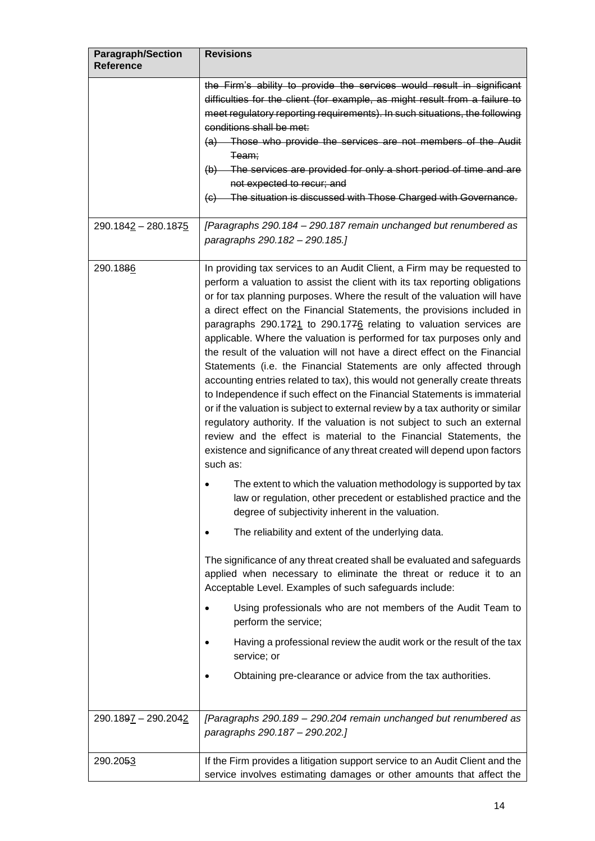| <b>Paragraph/Section</b><br><b>Reference</b> | <b>Revisions</b>                                                                                                                                                                                                                                                                                                                                                                                                                                                                                                                                                                                                                                                                                                                                                                                                                                                                                                                                                                                                                                                                                                                                                                                                                                                                                                                                                                                                                                                                                                                                                                                                                                                                                                                                                                                                              |
|----------------------------------------------|-------------------------------------------------------------------------------------------------------------------------------------------------------------------------------------------------------------------------------------------------------------------------------------------------------------------------------------------------------------------------------------------------------------------------------------------------------------------------------------------------------------------------------------------------------------------------------------------------------------------------------------------------------------------------------------------------------------------------------------------------------------------------------------------------------------------------------------------------------------------------------------------------------------------------------------------------------------------------------------------------------------------------------------------------------------------------------------------------------------------------------------------------------------------------------------------------------------------------------------------------------------------------------------------------------------------------------------------------------------------------------------------------------------------------------------------------------------------------------------------------------------------------------------------------------------------------------------------------------------------------------------------------------------------------------------------------------------------------------------------------------------------------------------------------------------------------------|
|                                              | the Firm's ability to provide the services would result in significant<br>difficulties for the client (for example, as might result from a failure to<br>meet regulatory reporting requirements). In such situations, the following<br>conditions shall be met:<br>(a) Those who provide the services are not members of the Audit<br><del>Team;</del><br>(b) The services are provided for only a short period of time and are<br>not expected to recur; and<br>(c) The situation is discussed with Those Charged with Governance.                                                                                                                                                                                                                                                                                                                                                                                                                                                                                                                                                                                                                                                                                                                                                                                                                                                                                                                                                                                                                                                                                                                                                                                                                                                                                           |
| 290.1842 - 280.1875                          | [Paragraphs 290.184 - 290.187 remain unchanged but renumbered as<br>paragraphs 290.182 - 290.185.]                                                                                                                                                                                                                                                                                                                                                                                                                                                                                                                                                                                                                                                                                                                                                                                                                                                                                                                                                                                                                                                                                                                                                                                                                                                                                                                                                                                                                                                                                                                                                                                                                                                                                                                            |
| 290.1886                                     | In providing tax services to an Audit Client, a Firm may be requested to<br>perform a valuation to assist the client with its tax reporting obligations<br>or for tax planning purposes. Where the result of the valuation will have<br>a direct effect on the Financial Statements, the provisions included in<br>paragraphs 290.1721 to 290.1776 relating to valuation services are<br>applicable. Where the valuation is performed for tax purposes only and<br>the result of the valuation will not have a direct effect on the Financial<br>Statements (i.e. the Financial Statements are only affected through<br>accounting entries related to tax), this would not generally create threats<br>to Independence if such effect on the Financial Statements is immaterial<br>or if the valuation is subject to external review by a tax authority or similar<br>regulatory authority. If the valuation is not subject to such an external<br>review and the effect is material to the Financial Statements, the<br>existence and significance of any threat created will depend upon factors<br>such as:<br>The extent to which the valuation methodology is supported by tax<br>law or regulation, other precedent or established practice and the<br>degree of subjectivity inherent in the valuation.<br>The reliability and extent of the underlying data.<br>The significance of any threat created shall be evaluated and safeguards<br>applied when necessary to eliminate the threat or reduce it to an<br>Acceptable Level. Examples of such safeguards include:<br>Using professionals who are not members of the Audit Team to<br>perform the service;<br>Having a professional review the audit work or the result of the tax<br>service; or<br>Obtaining pre-clearance or advice from the tax authorities. |
| 290.1897 - 290.2042                          | [Paragraphs 290.189 - 290.204 remain unchanged but renumbered as<br>paragraphs 290.187 - 290.202.]                                                                                                                                                                                                                                                                                                                                                                                                                                                                                                                                                                                                                                                                                                                                                                                                                                                                                                                                                                                                                                                                                                                                                                                                                                                                                                                                                                                                                                                                                                                                                                                                                                                                                                                            |
| 290.2053                                     | If the Firm provides a litigation support service to an Audit Client and the<br>service involves estimating damages or other amounts that affect the                                                                                                                                                                                                                                                                                                                                                                                                                                                                                                                                                                                                                                                                                                                                                                                                                                                                                                                                                                                                                                                                                                                                                                                                                                                                                                                                                                                                                                                                                                                                                                                                                                                                          |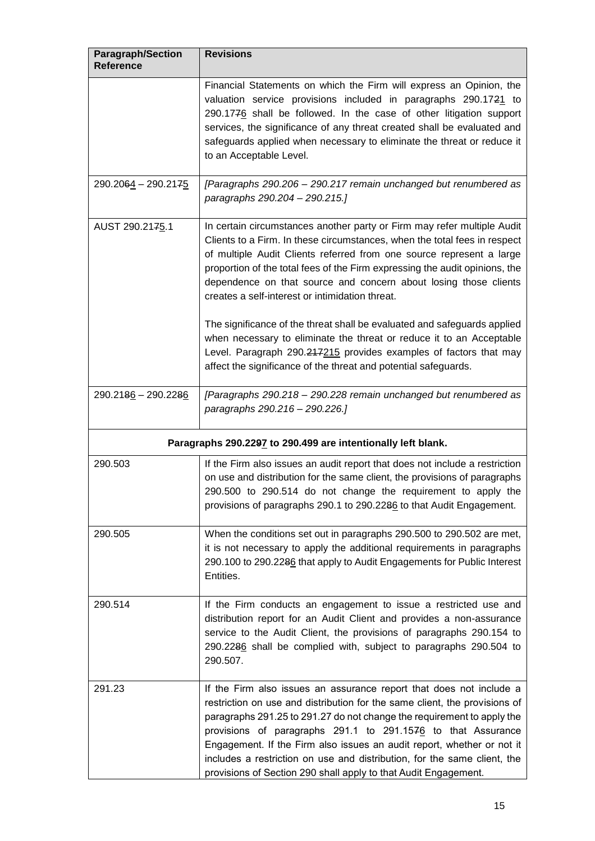| <b>Paragraph/Section</b><br><b>Reference</b> | <b>Revisions</b>                                                                                                                                                                                                                                                                                                                                                                                                                                                                                                                                                                                                                                                                                                               |  |
|----------------------------------------------|--------------------------------------------------------------------------------------------------------------------------------------------------------------------------------------------------------------------------------------------------------------------------------------------------------------------------------------------------------------------------------------------------------------------------------------------------------------------------------------------------------------------------------------------------------------------------------------------------------------------------------------------------------------------------------------------------------------------------------|--|
|                                              | Financial Statements on which the Firm will express an Opinion, the<br>valuation service provisions included in paragraphs 290.1721 to<br>290.1776 shall be followed. In the case of other litigation support<br>services, the significance of any threat created shall be evaluated and<br>safeguards applied when necessary to eliminate the threat or reduce it<br>to an Acceptable Level.                                                                                                                                                                                                                                                                                                                                  |  |
| 290.2064 - 290.2175                          | [Paragraphs 290.206 - 290.217 remain unchanged but renumbered as<br>paragraphs 290.204 - 290.215.]                                                                                                                                                                                                                                                                                                                                                                                                                                                                                                                                                                                                                             |  |
| AUST 290.2175.1                              | In certain circumstances another party or Firm may refer multiple Audit<br>Clients to a Firm. In these circumstances, when the total fees in respect<br>of multiple Audit Clients referred from one source represent a large<br>proportion of the total fees of the Firm expressing the audit opinions, the<br>dependence on that source and concern about losing those clients<br>creates a self-interest or intimidation threat.<br>The significance of the threat shall be evaluated and safeguards applied<br>when necessary to eliminate the threat or reduce it to an Acceptable<br>Level. Paragraph 290.247215 provides examples of factors that may<br>affect the significance of the threat and potential safeguards. |  |
| 290.2186 - 290.2286                          | [Paragraphs 290.218 - 290.228 remain unchanged but renumbered as<br>paragraphs 290.216 - 290.226.]                                                                                                                                                                                                                                                                                                                                                                                                                                                                                                                                                                                                                             |  |
|                                              | Paragraphs 290.2297 to 290.499 are intentionally left blank.                                                                                                                                                                                                                                                                                                                                                                                                                                                                                                                                                                                                                                                                   |  |
| 290.503                                      | If the Firm also issues an audit report that does not include a restriction<br>on use and distribution for the same client, the provisions of paragraphs<br>290.500 to 290.514 do not change the requirement to apply the<br>provisions of paragraphs 290.1 to 290.2286 to that Audit Engagement.                                                                                                                                                                                                                                                                                                                                                                                                                              |  |
| 290.505                                      | When the conditions set out in paragraphs 290.500 to 290.502 are met,<br>it is not necessary to apply the additional requirements in paragraphs<br>290.100 to 290.2286 that apply to Audit Engagements for Public Interest<br>Entities.                                                                                                                                                                                                                                                                                                                                                                                                                                                                                        |  |
| 290.514                                      | If the Firm conducts an engagement to issue a restricted use and<br>distribution report for an Audit Client and provides a non-assurance<br>service to the Audit Client, the provisions of paragraphs 290.154 to<br>290.2286 shall be complied with, subject to paragraphs 290.504 to<br>290.507.                                                                                                                                                                                                                                                                                                                                                                                                                              |  |
| 291.23                                       | If the Firm also issues an assurance report that does not include a<br>restriction on use and distribution for the same client, the provisions of<br>paragraphs 291.25 to 291.27 do not change the requirement to apply the<br>provisions of paragraphs 291.1 to 291.1576 to that Assurance<br>Engagement. If the Firm also issues an audit report, whether or not it<br>includes a restriction on use and distribution, for the same client, the<br>provisions of Section 290 shall apply to that Audit Engagement.                                                                                                                                                                                                           |  |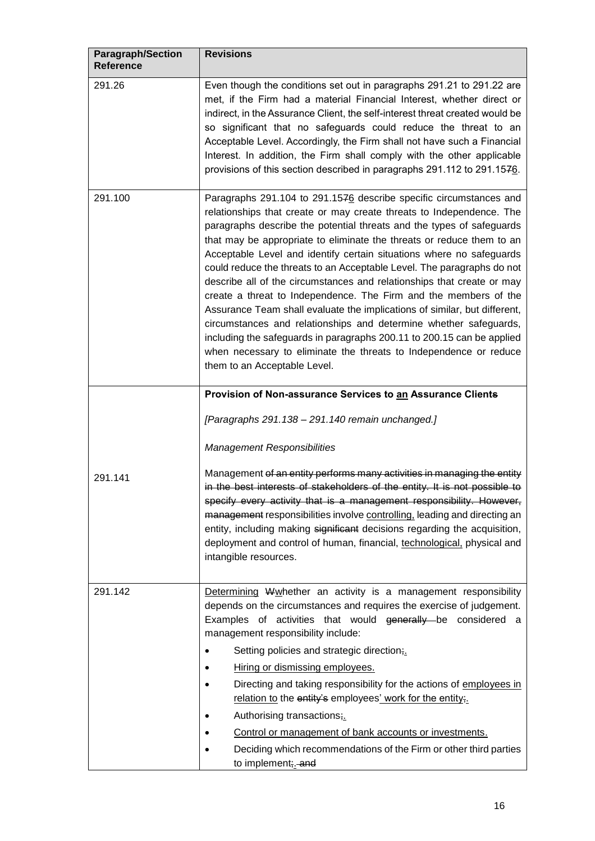| <b>Paragraph/Section</b><br>Reference | <b>Revisions</b>                                                                                                                                                                                                                                                                                                                                                                                                                                                                                                                                                                                                                                                                                                                                                                                                                                                                                                              |
|---------------------------------------|-------------------------------------------------------------------------------------------------------------------------------------------------------------------------------------------------------------------------------------------------------------------------------------------------------------------------------------------------------------------------------------------------------------------------------------------------------------------------------------------------------------------------------------------------------------------------------------------------------------------------------------------------------------------------------------------------------------------------------------------------------------------------------------------------------------------------------------------------------------------------------------------------------------------------------|
| 291.26                                | Even though the conditions set out in paragraphs 291.21 to 291.22 are<br>met, if the Firm had a material Financial Interest, whether direct or<br>indirect, in the Assurance Client, the self-interest threat created would be<br>so significant that no safeguards could reduce the threat to an<br>Acceptable Level. Accordingly, the Firm shall not have such a Financial<br>Interest. In addition, the Firm shall comply with the other applicable<br>provisions of this section described in paragraphs 291.112 to 291.1576.                                                                                                                                                                                                                                                                                                                                                                                             |
| 291.100                               | Paragraphs 291.104 to 291.1576 describe specific circumstances and<br>relationships that create or may create threats to Independence. The<br>paragraphs describe the potential threats and the types of safeguards<br>that may be appropriate to eliminate the threats or reduce them to an<br>Acceptable Level and identify certain situations where no safeguards<br>could reduce the threats to an Acceptable Level. The paragraphs do not<br>describe all of the circumstances and relationships that create or may<br>create a threat to Independence. The Firm and the members of the<br>Assurance Team shall evaluate the implications of similar, but different,<br>circumstances and relationships and determine whether safeguards,<br>including the safeguards in paragraphs 200.11 to 200.15 can be applied<br>when necessary to eliminate the threats to Independence or reduce<br>them to an Acceptable Level. |
|                                       | Provision of Non-assurance Services to an Assurance Clients                                                                                                                                                                                                                                                                                                                                                                                                                                                                                                                                                                                                                                                                                                                                                                                                                                                                   |
|                                       | [Paragraphs 291.138 - 291.140 remain unchanged.]                                                                                                                                                                                                                                                                                                                                                                                                                                                                                                                                                                                                                                                                                                                                                                                                                                                                              |
|                                       | <b>Management Responsibilities</b>                                                                                                                                                                                                                                                                                                                                                                                                                                                                                                                                                                                                                                                                                                                                                                                                                                                                                            |
| 291.141                               | Management of an entity performs many activities in managing the entity<br>in the best interests of stakeholders of the entity. It is not possible to<br>specify every activity that is a management responsibility. However,<br>management responsibilities involve controlling, leading and directing an<br>entity, including making significant decisions regarding the acquisition,<br>deployment and control of human, financial, technological, physical and<br>intangible resources.                                                                                                                                                                                                                                                                                                                                                                                                                                   |
| 291.142                               | Determining Wwhether an activity is a management responsibility<br>depends on the circumstances and requires the exercise of judgement.<br>Examples of activities that would generally be considered a<br>management responsibility include:                                                                                                                                                                                                                                                                                                                                                                                                                                                                                                                                                                                                                                                                                  |
|                                       | Setting policies and strategic direction;<br>٠                                                                                                                                                                                                                                                                                                                                                                                                                                                                                                                                                                                                                                                                                                                                                                                                                                                                                |
|                                       | Hiring or dismissing employees.                                                                                                                                                                                                                                                                                                                                                                                                                                                                                                                                                                                                                                                                                                                                                                                                                                                                                               |
|                                       | Directing and taking responsibility for the actions of employees in<br>relation to the entity's employees' work for the entity;                                                                                                                                                                                                                                                                                                                                                                                                                                                                                                                                                                                                                                                                                                                                                                                               |
|                                       | Authorising transactions;                                                                                                                                                                                                                                                                                                                                                                                                                                                                                                                                                                                                                                                                                                                                                                                                                                                                                                     |
|                                       | Control or management of bank accounts or investments.                                                                                                                                                                                                                                                                                                                                                                                                                                                                                                                                                                                                                                                                                                                                                                                                                                                                        |
|                                       | Deciding which recommendations of the Firm or other third parties<br>to implement; and                                                                                                                                                                                                                                                                                                                                                                                                                                                                                                                                                                                                                                                                                                                                                                                                                                        |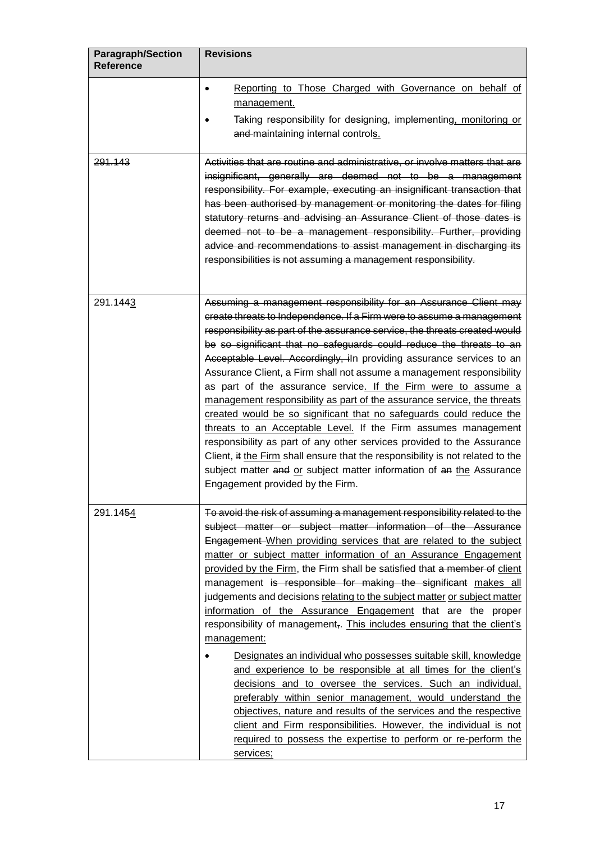| <b>Paragraph/Section</b><br><b>Reference</b> | <b>Revisions</b>                                                                                                                                                                                                                                                                                                                                                                                                                                                                                                                                                                                                                                                                                                                                                                                                                                                                                                                                                                                                                                                                                                                                                 |
|----------------------------------------------|------------------------------------------------------------------------------------------------------------------------------------------------------------------------------------------------------------------------------------------------------------------------------------------------------------------------------------------------------------------------------------------------------------------------------------------------------------------------------------------------------------------------------------------------------------------------------------------------------------------------------------------------------------------------------------------------------------------------------------------------------------------------------------------------------------------------------------------------------------------------------------------------------------------------------------------------------------------------------------------------------------------------------------------------------------------------------------------------------------------------------------------------------------------|
|                                              | Reporting to Those Charged with Governance on behalf of<br>$\bullet$<br>management.<br>Taking responsibility for designing, implementing, monitoring or<br>and maintaining internal controls.                                                                                                                                                                                                                                                                                                                                                                                                                                                                                                                                                                                                                                                                                                                                                                                                                                                                                                                                                                    |
| 291.143                                      | Activities that are routine and administrative, or involve matters that are<br>insignificant, generally are deemed not to be a management<br>responsibility. For example, executing an insignificant transaction that<br>has been authorised by management or monitoring the dates for filing<br>statutory returns and advising an Assurance Client of those dates is<br>deemed not to be a management responsibility. Further, providing<br>advice and recommendations to assist management in discharging its<br>responsibilities is not assuming a management responsibility.                                                                                                                                                                                                                                                                                                                                                                                                                                                                                                                                                                                 |
| 291.1443                                     | Assuming a management responsibility for an Assurance Client may<br>create threats to Independence. If a Firm were to assume a management<br>responsibility as part of the assurance service, the threats created would<br>be so significant that no safeguards could reduce the threats to an<br>Acceptable Level. Accordingly, iln providing assurance services to an<br>Assurance Client, a Firm shall not assume a management responsibility<br>as part of the assurance service. If the Firm were to assume a<br>management responsibility as part of the assurance service, the threats<br>created would be so significant that no safeguards could reduce the<br>threats to an Acceptable Level. If the Firm assumes management<br>responsibility as part of any other services provided to the Assurance<br>Client, it the Firm shall ensure that the responsibility is not related to the<br>subject matter and or subject matter information of an the Assurance<br>Engagement provided by the Firm.                                                                                                                                                   |
| 291.1454                                     | To avoid the risk of assuming a management responsibility related to the<br>subject matter or subject matter information of the Assurance<br>Engagement-When providing services that are related to the subject<br>matter or subject matter information of an Assurance Engagement<br>provided by the Firm, the Firm shall be satisfied that a member of client<br>management is responsible for making the significant makes all<br>judgements and decisions relating to the subject matter or subject matter<br>information of the Assurance Engagement that are the proper<br>responsibility of management,. This includes ensuring that the client's<br>management:<br>Designates an individual who possesses suitable skill, knowledge<br>and experience to be responsible at all times for the client's<br>decisions and to oversee the services. Such an individual,<br>preferably within senior management, would understand the<br>objectives, nature and results of the services and the respective<br>client and Firm responsibilities. However, the individual is not<br>required to possess the expertise to perform or re-perform the<br>services; |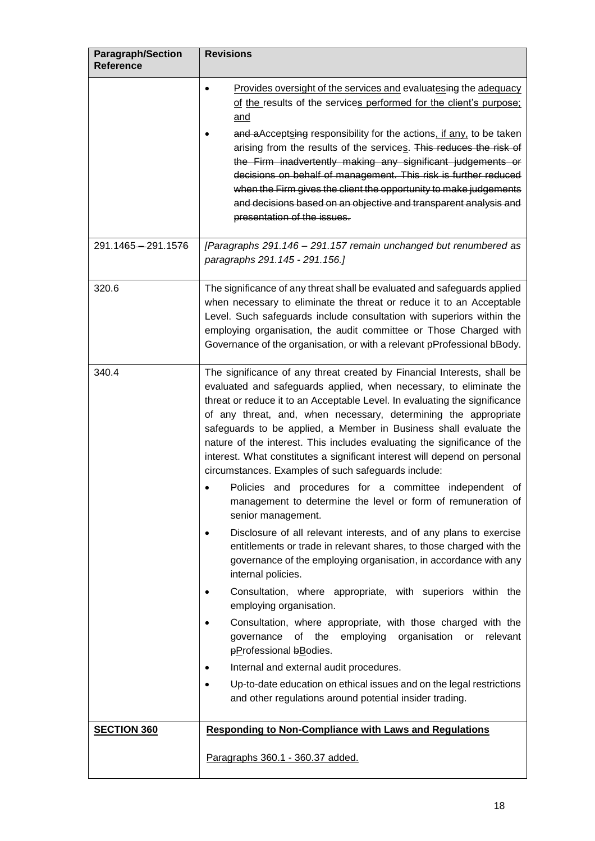| <b>Paragraph/Section</b><br><b>Reference</b> | <b>Revisions</b>                                                                                                                                                                                                                                                                                                                                                                                                                                                                                                                                                                                                                                                                                                                                                                                                                                                                                                                                     |
|----------------------------------------------|------------------------------------------------------------------------------------------------------------------------------------------------------------------------------------------------------------------------------------------------------------------------------------------------------------------------------------------------------------------------------------------------------------------------------------------------------------------------------------------------------------------------------------------------------------------------------------------------------------------------------------------------------------------------------------------------------------------------------------------------------------------------------------------------------------------------------------------------------------------------------------------------------------------------------------------------------|
|                                              | Provides oversight of the services and evaluatesing the adequacy<br>$\bullet$<br>of the results of the services performed for the client's purpose;<br>and                                                                                                                                                                                                                                                                                                                                                                                                                                                                                                                                                                                                                                                                                                                                                                                           |
|                                              | and aAcceptsing responsibility for the actions, if any, to be taken<br>arising from the results of the services. This reduces the risk of<br>the Firm inadvertently making any significant judgements or<br>decisions on behalf of management. This risk is further reduced<br>when the Firm gives the client the opportunity to make judgements<br>and decisions based on an objective and transparent analysis and<br>presentation of the issues.                                                                                                                                                                                                                                                                                                                                                                                                                                                                                                  |
| 291.1465-291.1576                            | [Paragraphs 291.146 - 291.157 remain unchanged but renumbered as<br>paragraphs 291.145 - 291.156.]                                                                                                                                                                                                                                                                                                                                                                                                                                                                                                                                                                                                                                                                                                                                                                                                                                                   |
| 320.6                                        | The significance of any threat shall be evaluated and safeguards applied<br>when necessary to eliminate the threat or reduce it to an Acceptable<br>Level. Such safeguards include consultation with superiors within the<br>employing organisation, the audit committee or Those Charged with<br>Governance of the organisation, or with a relevant pProfessional bBody.                                                                                                                                                                                                                                                                                                                                                                                                                                                                                                                                                                            |
| 340.4                                        | The significance of any threat created by Financial Interests, shall be<br>evaluated and safeguards applied, when necessary, to eliminate the<br>threat or reduce it to an Acceptable Level. In evaluating the significance<br>of any threat, and, when necessary, determining the appropriate<br>safeguards to be applied, a Member in Business shall evaluate the<br>nature of the interest. This includes evaluating the significance of the<br>interest. What constitutes a significant interest will depend on personal<br>circumstances. Examples of such safeguards include:<br>Policies and procedures for a committee independent of<br>management to determine the level or form of remuneration of<br>senior management.<br>Disclosure of all relevant interests, and of any plans to exercise<br>entitlements or trade in relevant shares, to those charged with the<br>governance of the employing organisation, in accordance with any |
|                                              | internal policies.<br>Consultation, where appropriate, with superiors within the<br>employing organisation.<br>Consultation, where appropriate, with those charged with the<br>of the employing organisation<br>governance<br>or<br>relevant<br>pProfessional bBodies.<br>Internal and external audit procedures.<br>Up-to-date education on ethical issues and on the legal restrictions<br>and other regulations around potential insider trading.                                                                                                                                                                                                                                                                                                                                                                                                                                                                                                 |
| <b>SECTION 360</b>                           | <b>Responding to Non-Compliance with Laws and Regulations</b>                                                                                                                                                                                                                                                                                                                                                                                                                                                                                                                                                                                                                                                                                                                                                                                                                                                                                        |
|                                              | Paragraphs 360.1 - 360.37 added.                                                                                                                                                                                                                                                                                                                                                                                                                                                                                                                                                                                                                                                                                                                                                                                                                                                                                                                     |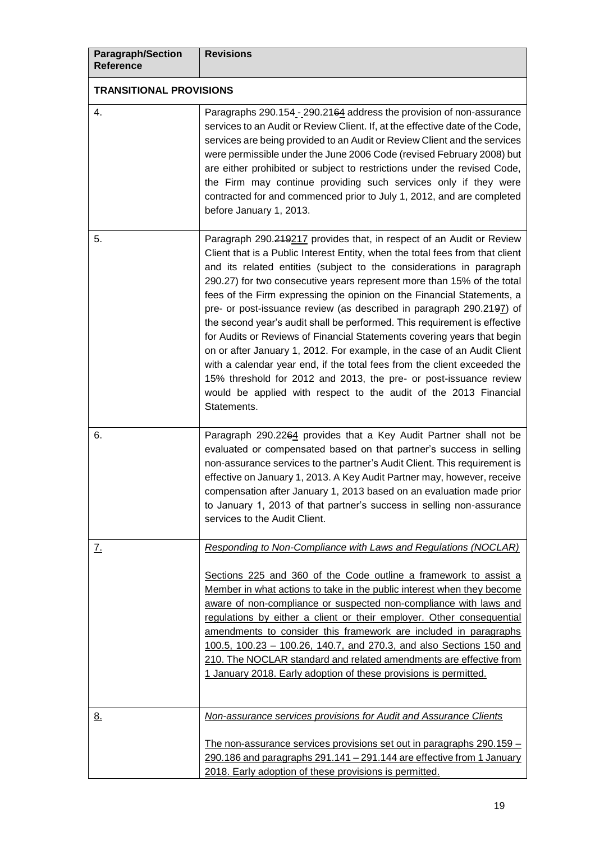| <b>Paragraph/Section</b><br><b>Reference</b> | <b>Revisions</b>                                                                                                                                                                                                                                                                                                                                                                                                                                                                                                                                                                                                                                                                                                                                                                                                                                                                                                                  |
|----------------------------------------------|-----------------------------------------------------------------------------------------------------------------------------------------------------------------------------------------------------------------------------------------------------------------------------------------------------------------------------------------------------------------------------------------------------------------------------------------------------------------------------------------------------------------------------------------------------------------------------------------------------------------------------------------------------------------------------------------------------------------------------------------------------------------------------------------------------------------------------------------------------------------------------------------------------------------------------------|
| <b>TRANSITIONAL PROVISIONS</b>               |                                                                                                                                                                                                                                                                                                                                                                                                                                                                                                                                                                                                                                                                                                                                                                                                                                                                                                                                   |
| 4.                                           | Paragraphs 290.154 - 290.2164 address the provision of non-assurance<br>services to an Audit or Review Client. If, at the effective date of the Code,<br>services are being provided to an Audit or Review Client and the services<br>were permissible under the June 2006 Code (revised February 2008) but<br>are either prohibited or subject to restrictions under the revised Code,<br>the Firm may continue providing such services only if they were<br>contracted for and commenced prior to July 1, 2012, and are completed<br>before January 1, 2013.                                                                                                                                                                                                                                                                                                                                                                    |
| 5.                                           | Paragraph 290.249217 provides that, in respect of an Audit or Review<br>Client that is a Public Interest Entity, when the total fees from that client<br>and its related entities (subject to the considerations in paragraph<br>290.27) for two consecutive years represent more than 15% of the total<br>fees of the Firm expressing the opinion on the Financial Statements, a<br>pre- or post-issuance review (as described in paragraph 290.2197) of<br>the second year's audit shall be performed. This requirement is effective<br>for Audits or Reviews of Financial Statements covering years that begin<br>on or after January 1, 2012. For example, in the case of an Audit Client<br>with a calendar year end, if the total fees from the client exceeded the<br>15% threshold for 2012 and 2013, the pre- or post-issuance review<br>would be applied with respect to the audit of the 2013 Financial<br>Statements. |
| 6.                                           | Paragraph 290.2264 provides that a Key Audit Partner shall not be<br>evaluated or compensated based on that partner's success in selling<br>non-assurance services to the partner's Audit Client. This requirement is<br>effective on January 1, 2013. A Key Audit Partner may, however, receive<br>compensation after January 1, 2013 based on an evaluation made prior<br>to January 1, 2013 of that partner's success in selling non-assurance<br>services to the Audit Client.                                                                                                                                                                                                                                                                                                                                                                                                                                                |
| <u>z.</u>                                    | <b>Responding to Non-Compliance with Laws and Regulations (NOCLAR)</b>                                                                                                                                                                                                                                                                                                                                                                                                                                                                                                                                                                                                                                                                                                                                                                                                                                                            |
|                                              | Sections 225 and 360 of the Code outline a framework to assist a<br>Member in what actions to take in the public interest when they become<br>aware of non-compliance or suspected non-compliance with laws and<br>regulations by either a client or their employer. Other consequential<br>amendments to consider this framework are included in paragraphs<br>100.5, 100.23 - 100.26, 140.7, and 270.3, and also Sections 150 and<br>210. The NOCLAR standard and related amendments are effective from<br>1 January 2018. Early adoption of these provisions is permitted.                                                                                                                                                                                                                                                                                                                                                     |
| <u>8.</u>                                    | Non-assurance services provisions for Audit and Assurance Clients                                                                                                                                                                                                                                                                                                                                                                                                                                                                                                                                                                                                                                                                                                                                                                                                                                                                 |
|                                              | The non-assurance services provisions set out in paragraphs 290.159 -<br>290.186 and paragraphs 291.141 - 291.144 are effective from 1 January<br>2018. Early adoption of these provisions is permitted.                                                                                                                                                                                                                                                                                                                                                                                                                                                                                                                                                                                                                                                                                                                          |